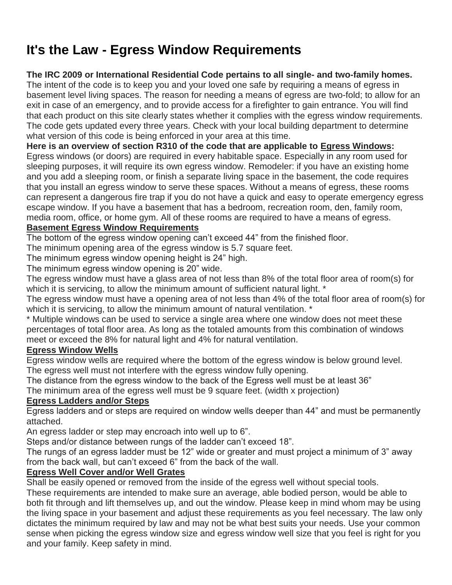# **It's the Law - Egress Window Requirements**

#### **The IRC 2009 or International Residential Code pertains to all single- and two-family homes.**

The intent of the code is to keep you and your loved one safe by requiring a means of egress in basement level living spaces. The reason for needing a means of egress are two-fold; to allow for an exit in case of an emergency, and to provide access for a firefighter to gain entrance. You will find that each product on this site clearly states whether it complies with the egress window requirements. The code gets updated every three years. Check with your local building department to determine what version of this code is being enforced in your area at this time.

## **Here is an overview of section R310 of the code that are applicable to [Egress Windows:](https://www.egresswindows.com/category/Egress-Windows)**

Egress windows (or doors) are required in every habitable space. Especially in any room used for sleeping purposes, it will require its own egress window. Remodeler: if you have an existing home and you add a sleeping room, or finish a separate living space in the basement, the code requires that you install an egress window to serve these spaces. Without a means of egress, these rooms can represent a dangerous fire trap if you do not have a quick and easy to operate emergency egress escape window. If you have a basement that has a bedroom, recreation room, den, family room, media room, office, or home gym. All of these rooms are required to have a means of egress.

## **[Basement Egress Window Requirements](https://www.egresswindows.com/category/Egress-Windows)**

The bottom of the egress window opening can't exceed 44" from the finished floor.

The minimum opening area of the egress window is 5.7 square feet.

The minimum egress window opening height is 24" high.

The minimum egress window opening is 20" wide.

The egress window must have a glass area of not less than 8% of the total floor area of room(s) for which it is servicing, to allow the minimum amount of sufficient natural light. \*

The egress window must have a opening area of not less than 4% of the total floor area of room(s) for which it is servicing, to allow the minimum amount of natural ventilation.  $*$ 

\* Multiple windows can be used to service a single area where one window does not meet these percentages of total floor area. As long as the totaled amounts from this combination of windows meet or exceed the 8% for natural light and 4% for natural ventilation.

# **[Egress Window Wells](https://www.egresswindows.com/category/Egress-Window-Well)**

Egress window wells are required where the bottom of the egress window is below ground level. The egress well must not interfere with the egress window fully opening.

The distance from the egress window to the back of the Egress well must be at least 36"

The minimum area of the egress well must be 9 square feet. (width x projection)

#### **[Egress Ladders and/or Steps](https://www.egresswindows.com/category/Accessories)**

Egress ladders and or steps are required on window wells deeper than 44" and must be permanently attached.

An egress ladder or step may encroach into well up to 6".

Steps and/or distance between rungs of the ladder can't exceed 18".

The rungs of an egress ladder must be 12" wide or greater and must project a minimum of 3" away from the back wall, but can't exceed 6" from the back of the wall.

# **[Egress Well Cover and/or Well Grates](https://www.egresswindows.com/category/Well-Covers-and-Well-Grates)**

Shall be easily opened or removed from the inside of the egress well without special tools.

These requirements are intended to make sure an average, able bodied person, would be able to both fit through and lift themselves up, and out the window. Please keep in mind whom may be using the living space in your basement and adjust these requirements as you feel necessary. The law only dictates the minimum required by law and may not be what best suits your needs. Use your common sense when picking the egress window size and egress window well size that you feel is right for you and your family. Keep safety in mind.